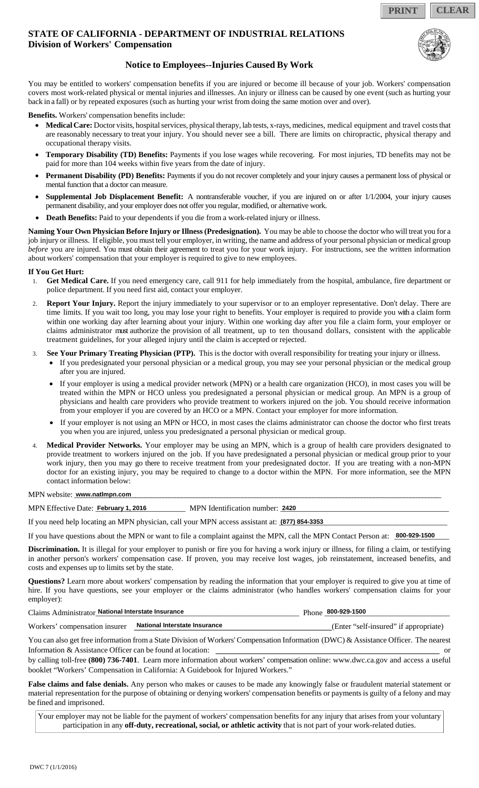**PRINT CLEAR**

## **STATE OF CALIFORNIA - DEPARTMENT OF INDUSTRIAL RELATIONS Division of Workers' Compensation**



## **Notice to Employees--Injuries Caused By Work**

You may be entitled to workers' compensation benefits if you are injured or become ill because of your job. Workers' compensation covers most work-related physical or mental injuries and illnesses. An injury or illness can be caused by one event (such as hurting your back in a fall) or by repeated exposures (such as hurting your wrist from doing the same motion over and over).

**Benefits.** Workers' compensation benefits include:

- **Medical Care:** Doctor visits, hospital services, physical therapy, lab tests, x-rays, medicines, medical equipment and travel costs that are reasonably necessary to treat your injury. You should never see a bill. There are limits on chiropractic, physical therapy and occupational therapy visits.
- **Temporary Disability (TD) Benefits:** Payments if you lose wages while recovering. For most injuries, TD benefits may not be paid for more than 104 weeks within five years from the date of injury.
- **Permanent Disability (PD) Benefits:** Payments if you do not recover completely and your injury causes a permanent loss of physical or mental function that a doctor can measure.
- **Supplemental Job Displacement Benefit:** A nontransferable voucher, if you are injured on or after 1/1/2004, your injury causes permanent disability, and your employer does not offer you regular, modified, or alternative work.
- **Death Benefits:** Paid to your dependents if you die from a work-related injury or illness.

**Naming Your Own Physician Before Injury or Illness (Predesignation).** You may be able to choose the doctor who will treat you for a job injury or illness. If eligible, you must tell your employer, in writing, the name and address of your personal physician or medical group *before* you are injured. You must obtain their agreement to treat you for your work injury. For instructions, see the written information about workers' compensation that your employer is required to give to new employees.

#### **If You Get Hurt:**

- 1. **Get Medical Care.** If you need emergency care, call 911 for help immediately from the hospital, ambulance, fire department or police department. If you need first aid, contact your employer.
- Report Your Injury. Report the injury immediately to your supervisor or to an employer representative. Don't delay. There are time limits. If you wait too long, you may lose your right to benefits. Your employer is required to provide you with a claim form within one working day after learning about your injury. Within one working day after you file a claim form, your employer or claims administrator must authorize the provision of all treatment, up to ten thousand dollars, consistent with the applicable treatment guidelines, for your alleged injury until the claim is accepted or rejected.
- 3. **See Your Primary Treating Physician (PTP).** This is the doctor with overall responsibility for treating your injury or illness.
	- If you predesignated your personal physician or a medical group, you may see your personal physician or the medical group after you are injured.
	- If your employer is using a medical provider network (MPN) or a health care organization (HCO), in most cases you will be treated within the MPN or HCO unless you predesignated a personal physician or medical group. An MPN is a group of physicians and health care providers who provide treatment to workers injured on the job. You should receive information from your employer if you are covered by an HCO or a MPN. Contact your employer for more information.
	- If your employer is not using an MPN or HCO, in most cases the claims administrator can choose the doctor who first treats you when you are injured, unless you predesignated a personal physician or medical group.
- 4. **Medical Provider Networks.** Your employer may be using an MPN, which is a group of health care providers designated to provide treatment to workers injured on the job. If you have predesignated a personal physician or medical group prior to your work injury, then you may go there to receive treatment from your predesignated doctor. If you are treating with a non-MPN doctor for an existing injury, you may be required to change to a doctor within the MPN. For more information, see the MPN contact information below:

MPN website: **www.natlmpn.com www.natlmpn.com** 

MPN Effective Date: \_\_\_\_\_\_\_\_\_\_\_\_\_\_\_\_\_\_\_\_\_\_\_ MPN Identification number: \_\_\_\_\_\_\_\_\_\_\_\_\_\_\_\_\_\_\_\_\_\_\_\_\_\_\_\_\_\_\_\_\_\_\_\_\_\_\_\_\_\_\_ **February 1, 2016 2420**

If you need help locating an MPN physician, call your MPN access assistant at: **1877) 854-3353** 

If you have questions about the MPN or want to file a complaint against the MPN, call the MPN Contact Person at:  $\frac{800-929-1500}{\sqrt{1-\frac{1}{100}}}\$ 

**Discrimination.** It is illegal for your employer to punish or fire you for having a work injury or illness, for filing a claim, or testifying in another person's workers' compensation case. If proven, you may receive lost wages, job reinstatement, increased benefits, and costs and expenses up to limits set by the state.

**Questions?** Learn more about workers' compensation by reading the information that your employer is required to give you at time of hire. If you have questions, see your employer or the claims administrator (who handles workers' compensation claims for your employer):

| Claims Administrator National Interstate Insurance          | Phone $800 - 929 - 1500$ |                                       |  |
|-------------------------------------------------------------|--------------------------|---------------------------------------|--|
| Workers' compensation insurer National Interstate Insurance |                          | (Enter "self-insured" if appropriate) |  |

You can also get free information from a State Division of Workers' Compensation Information (DWC) & Assistance Officer. The nearest Information & Assistance Officer can be found at location: or

by calling toll-free **(800) 736-7401**. Learn more information about workers' compensation online: www.dwc.ca.gov and access a useful booklet "Workers' Compensation in California: A Guidebook for Injured Workers."

**False claims and false denials.** Any person who makes or causes to be made any knowingly false or fraudulent material statement or material representation for the purpose of obtaining or denying workers' compensation benefits or payments is guilty of a felony and may be fined and imprisoned.

Your employer may not be liable for the payment of workers' compensation benefits for any injury that arises from your voluntary participation in any **off-duty, recreational, social, or athletic activity** that is not part of your work-related duties.